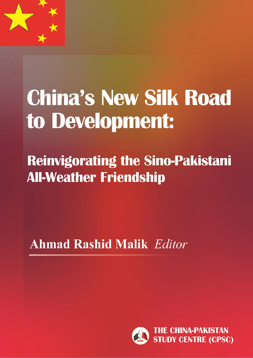

# **China's New Silk Road** to Development:

**Reinvigorating the Sino-Pakistani All-Weather Friendship** 

**Ahmad Rashid Malik Editor** 

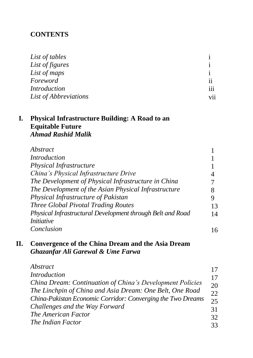#### **CONTENTS**

| List of tables        |                     |
|-----------------------|---------------------|
| List of figures       |                     |
| List of maps          |                     |
| Foreword              | $\cdot \cdot$<br>11 |
| Introduction          | 111                 |
| List of Abbreviations | V11                 |

#### **I. Physical Infrastructure Building: A Road to an Equitable Future** *Ahmad Rashid Malik*

| Abstract                                                   |    |
|------------------------------------------------------------|----|
| <b>Introduction</b>                                        |    |
| Physical Infrastructure                                    |    |
| China's Physical Infrastructure Drive                      | 4  |
| The Development of Physical Infrastructure in China        |    |
| The Development of the Asian Physical Infrastructure       | 8  |
| Physical Infrastructure of Pakistan                        | 9  |
| <b>Three Global Pivotal Trading Routes</b>                 | 13 |
| Physical Infrastructural Development through Belt and Road | 14 |
| <i>Initiative</i>                                          |    |
| Conclusion                                                 | 16 |

### **II. Convergence of the China Dream and the Asia Dream** *Ghazanfar Ali Garewal & Ume Farwa*

| Abstract                                                    | 17 |
|-------------------------------------------------------------|----|
| <b>Introduction</b>                                         | 17 |
| China Dream: Continuation of China's Development Policies   | 20 |
| The Linchpin of China and Asia Dream: One Belt, One Road    | 22 |
| China-Pakistan Economic Corridor: Converging the Two Dreams | 25 |
| Challenges and the Way Forward                              | 31 |
| The American Factor                                         | 32 |
| The Indian Factor                                           | 33 |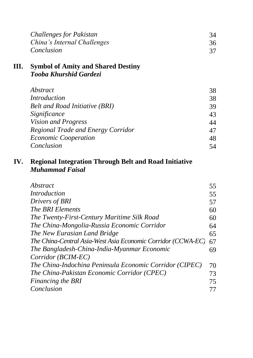|    | <b>Challenges for Pakistan</b>            | 34 |
|----|-------------------------------------------|----|
|    | China's Internal Challenges               | 36 |
|    | Conclusion                                | 37 |
| Ш. | <b>Symbol of Amity and Shared Destiny</b> |    |
|    | Tooba Khurshid Gardezi                    |    |
|    | Abstract                                  | 38 |
|    | <i>Introduction</i>                       | 38 |
|    | Belt and Road Initiative (BRI)            | 39 |
|    | Significance                              | 43 |
|    | Vision and Progress                       | 44 |
|    | Regional Trade and Energy Corridor        | 47 |
|    | <b>Economic Cooperation</b>               | 48 |
|    | Conclusion                                | 54 |
|    |                                           |    |

#### **IV. Regional Integration Through Belt and Road Initiative**  *Muhammad Faisal*

| Abstract                                                     | 55 |
|--------------------------------------------------------------|----|
| Introduction                                                 | 55 |
| Drivers of BRI                                               | 57 |
| The BRI Elements                                             | 60 |
| The Twenty-First-Century Maritime Silk Road                  | 60 |
| The China-Mongolia-Russia Economic Corridor                  | 64 |
| The New Eurasian Land Bridge                                 | 65 |
| The China-Central Asia-West Asia Economic Corridor (CCWA-EC) | 67 |
| The Bangladesh-China-India-Myanmar Economic                  | 69 |
| Corridor (BCIM-EC)                                           |    |
| The China-Indochina Peninsula Economic Corridor (CIPEC)      | 70 |
| The China-Pakistan Economic Corridor (CPEC)                  | 73 |
| Financing the BRI                                            | 75 |
| Conclusion                                                   | 77 |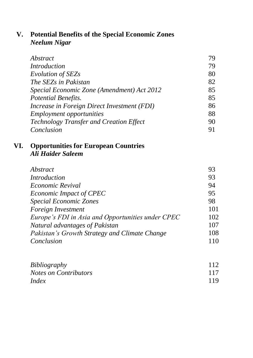# **V. Potential Benefits of the Special Economic Zones**  *Neelum Nigar*

| Abstract                                    | 79 |
|---------------------------------------------|----|
| <i>Introduction</i>                         | 79 |
| Evolution of SEZs                           | 80 |
| The SEZs in Pakistan                        | 82 |
| Special Economic Zone (Amendment) Act 2012  | 85 |
| Potential Benefits.                         | 85 |
| Increase in Foreign Direct Investment (FDI) | 86 |
| <b>Employment opportunities</b>             | 88 |
| Technology Transfer and Creation Effect     | 90 |
| Conclusion                                  | 91 |

## **VI. Opportunities for European Countries** *Ali Haider Saleem*

| Abstract                                          | 93  |
|---------------------------------------------------|-----|
| Introduction                                      | 93  |
| <i>Economic Revival</i>                           | 94  |
| Economic Impact of CPEC                           | 95  |
| <b>Special Economic Zones</b>                     | 98  |
| Foreign Investment                                | 101 |
| Europe's FDI in Asia and Opportunities under CPEC | 102 |
| Natural advantages of Pakistan                    | 107 |
| Pakistan's Growth Strategy and Climate Change     | 108 |
| Conclusion                                        | 110 |
|                                                   |     |

| <i>Bibliography</i>          | 112 |
|------------------------------|-----|
| <i>Notes on Contributors</i> | 117 |
| Index                        | 119 |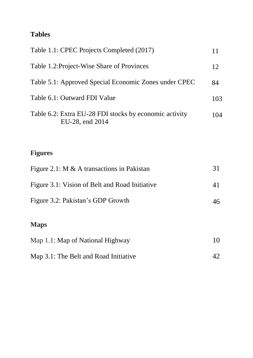# **Tables**

| Table 1.1: CPEC Projects Completed (2017)                                 | 11  |
|---------------------------------------------------------------------------|-----|
| Table 1.2: Project-Wise Share of Provinces                                | 12  |
| Table 5.1: Approved Special Economic Zones under CPEC                     | 84  |
| Table 6.1: Outward FDI Value                                              | 103 |
| Table 6.2: Extra EU-28 FDI stocks by economic activity<br>EU-28, end 2014 | 104 |
|                                                                           |     |
| <b>Figures</b>                                                            |     |
| Figure 2.1: M & A transactions in Pakistan                                | 31  |
| Figure 3.1: Vision of Belt and Road Initiative                            | 41  |
| Figure 3.2: Pakistan's GDP Growth                                         | 46  |
| <b>Maps</b>                                                               |     |
| Map 1.1: Map of National Highway                                          | 10  |
| Map 3.1: The Belt and Road Initiative                                     | 42  |